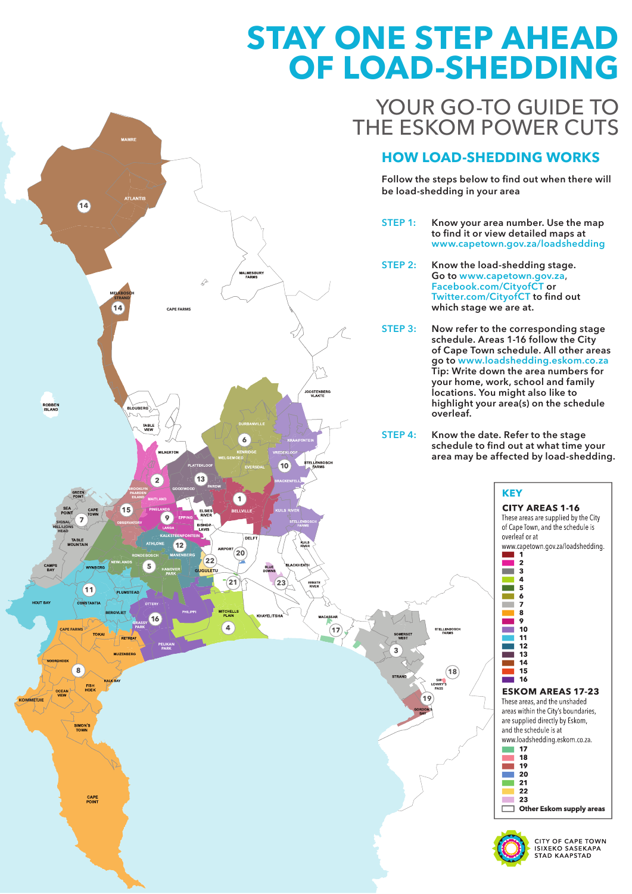# **STAY ONE STEP AHEAD** OF LOAD-SHEDDING

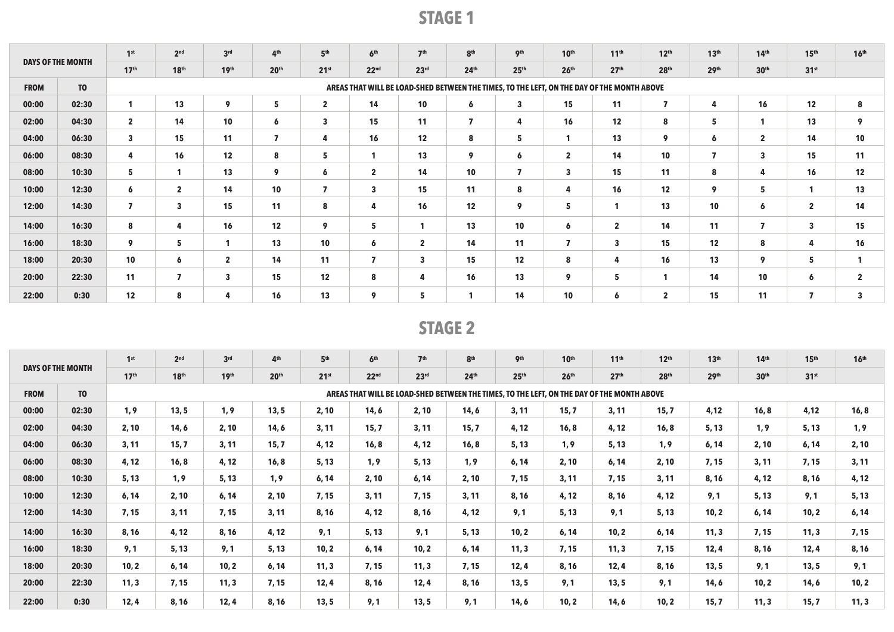|                          |                | 1 <sup>st</sup>         | 2 <sup>nd</sup>         | 3 <sup>rd</sup>         | 4 <sup>th</sup>  | 5 <sup>th</sup>         | 6 <sup>th</sup>  | 7 <sup>th</sup>         | 8 <sup>th</sup>  | 9 <sup>th</sup>         | 10 <sup>th</sup>                                                                           | 11 <sup>th</sup> | 12 <sup>th</sup>        | 13 <sup>th</sup>        | 14 <sup>th</sup>        | 15 <sup>th</sup>        | 16 <sup>th</sup> |
|--------------------------|----------------|-------------------------|-------------------------|-------------------------|------------------|-------------------------|------------------|-------------------------|------------------|-------------------------|--------------------------------------------------------------------------------------------|------------------|-------------------------|-------------------------|-------------------------|-------------------------|------------------|
| <b>DAYS OF THE MONTH</b> |                | 17 <sup>th</sup>        | 18 <sup>th</sup>        | 19 <sup>th</sup>        | 20 <sup>th</sup> | 21 <sup>st</sup>        | 22 <sup>nd</sup> | 23 <sup>rd</sup>        | 24 <sup>th</sup> | 25 <sup>th</sup>        | 26 <sup>th</sup>                                                                           | 27 <sup>th</sup> | 28 <sup>th</sup>        | 29 <sup>th</sup>        | 30 <sup>th</sup>        | 31 <sup>st</sup>        |                  |
| <b>FROM</b>              | T <sub>0</sub> |                         |                         |                         |                  |                         |                  |                         |                  |                         | AREAS THAT WILL BE LOAD-SHED BETWEEN THE TIMES, TO THE LEFT, ON THE DAY OF THE MONTH ABOVE |                  |                         |                         |                         |                         |                  |
| 00:00                    | 02:30          |                         | 13                      | 9                       | 5                | $\mathbf{2}$            | 14               | 10 <sup>°</sup>         | 6                | $\overline{\mathbf{3}}$ | 15                                                                                         | 11               | $\overline{\mathbf{z}}$ | 4                       | 16                      | 12                      | 8                |
| 02:00                    | 04:30          | $\overline{2}$          | 14                      | 10                      | 6                | $\overline{\mathbf{3}}$ | 15               | 11                      | $\overline{7}$   | 4                       | 16                                                                                         | 12               | 8                       | 5                       | 1                       | 13                      | 9                |
| 04:00                    | 06:30          | $\overline{\mathbf{3}}$ | 15                      | 11                      | $\overline{7}$   | 4                       | 16               | $12 \overline{ }$       | 8                | 5                       | $\mathbf{1}$                                                                               | 13               | 9                       | 6                       | $\overline{2}$          | 14                      | 10               |
| 06:00                    | 08:30          | 4                       | 16                      | 12                      | 8                | 5                       | $\mathbf{1}$     | 13                      | 9                | 6                       | $\overline{2}$                                                                             | 14               | 10                      | $\overline{\mathbf{z}}$ | $\overline{\mathbf{3}}$ | 15                      | 11               |
| 08:00                    | 10:30          | 5                       | 1                       | 13                      | 9                | 6                       | $\mathbf{2}$     | 14                      | 10               | $\overline{\mathbf{z}}$ | $\overline{\mathbf{3}}$                                                                    | 15               | 11                      | 8                       | 4                       | 16                      | 12               |
| 10:00                    | 12:30          | 6                       | $\mathbf{2}$            | 14                      | 10               | $\overline{\mathbf{z}}$ | 3                | 15                      | 11               | 8                       | 4                                                                                          | 16               | 12                      | 9                       | 5                       |                         | 13               |
| 12:00                    | 14:30          | $\overline{ }$          | $\overline{\mathbf{3}}$ | 15                      | 11               | 8                       | 4                | 16                      | 12               | 9                       | 5                                                                                          |                  | 13                      | 10                      | 6                       | $\overline{2}$          | 14               |
| 14:00                    | 16:30          | 8                       | 4                       | 16                      | 12               | 9                       | 5.               |                         | 13               | 10                      | 6                                                                                          | $\mathbf{2}$     | 14                      | 11                      | 7                       | $\overline{\mathbf{3}}$ | 15               |
| 16:00                    | 18:30          | 9                       | 5                       |                         | 13               | 10                      | 6                | $\mathbf{2}$            | 14               | 11                      | 7                                                                                          | 3                | 15                      | 12                      | 8                       | 4                       | 16               |
| 18:00                    | 20:30          | 10                      | 6                       | $\overline{2}$          | 14               | 11                      | 7                | $\overline{\mathbf{3}}$ | 15               | 12                      | 8                                                                                          | 4                | 16                      | 13                      | 9                       | 5                       |                  |
| 20:00                    | 22:30          | 11                      | $\overline{7}$          | $\overline{\mathbf{3}}$ | 15               | 12                      | 8                | 4                       | 16               | 13                      | 9                                                                                          | 5                | 1                       | 14                      | 10                      | 6                       | $\overline{2}$   |
| 22:00                    | 0:30           | 12                      | 8                       | 4                       | 16               | 13                      | 9                | 5                       |                  | 14                      | 10                                                                                         | 6                | $\overline{2}$          | 15                      | 11                      |                         | 3                |

|             | <b>DAYS OF THE MONTH</b> | 1 <sup>st</sup>  | 2 <sup>nd</sup>  | 3 <sup>rd</sup>  | 4 <sup>th</sup>  | 5 <sup>th</sup>  | 6 <sup>th</sup>  | 7 <sup>th</sup>                                                                            | 8 <sup>th</sup> | 9 <sup>th</sup>  | 10 <sup>th</sup> | 11 <sup>th</sup> | 12 <sup>th</sup> | 13 <sup>th</sup> | 14 <sup>th</sup> | 15 <sup>th</sup> | 16 <sup>th</sup> |
|-------------|--------------------------|------------------|------------------|------------------|------------------|------------------|------------------|--------------------------------------------------------------------------------------------|-----------------|------------------|------------------|------------------|------------------|------------------|------------------|------------------|------------------|
|             |                          | 17 <sup>th</sup> | 18 <sup>th</sup> | 19 <sup>th</sup> | 20 <sup>th</sup> | 21 <sup>st</sup> | 22 <sup>nd</sup> | 23 <sup>rd</sup>                                                                           | 24th            | 25 <sup>th</sup> | 26 <sup>th</sup> | 27 <sup>th</sup> | 28 <sup>th</sup> | 29 <sup>th</sup> | 30 <sup>th</sup> | 31 <sup>st</sup> |                  |
| <b>FROM</b> | T <sub>0</sub>           |                  |                  |                  |                  |                  |                  | AREAS THAT WILL BE LOAD-SHED BETWEEN THE TIMES, TO THE LEFT, ON THE DAY OF THE MONTH ABOVE |                 |                  |                  |                  |                  |                  |                  |                  |                  |
| 00:00       | 02:30                    | 1, 9             | 13, 5            | 1, 9             | 13, 5            | 2, 10            | 14, 6            | 2, 10                                                                                      | 14,6            | 3, 11            | 15,7             | 3, 11            | 15,7             | 4,12             | 16, 8            | 4,12             | 16, 8            |
| 02:00       | 04:30                    | 2, 10            | 14,6             | 2, 10            | 14,6             | 3, 11            | 15.7             | 3, 11                                                                                      | 15.7            | 4, 12            | 16, 8            | 4, 12            | 16, 8            | 5, 13            | 1, 9             | 5, 13            | 1, 9             |
| 04:00       | 06:30                    | 3.11             | 15,7             | 3.11             | 15, 7            | 4, 12            | 16, 8            | 4, 12                                                                                      | 16, 8           | 5, 13            | 1, 9             | 5, 13            | 1,9              | 6, 14            | 2, 10            | 6, 14            | 2, 10            |
| 06:00       | 08:30                    | 4,12             | 16.8             | 4,12             | 16, 8            | 5, 13            | 1,9              | 5.13                                                                                       | 1,9             | 6, 14            | 2, 10            | 6, 14            | 2, 10            | 7.15             | 3.11             | 7, 15            | 3, 11            |
| 08:00       | 10:30                    | 5.13             | 1, 9             | 5, 13            | 1, 9             | 6, 14            | 2, 10            | 6.14                                                                                       | 2, 10           | 7.15             | 3, 11            | 7,15             | 3.11             | 8, 16            | 4,12             | 8, 16            | 4, 12            |
| 10:00       | 12:30                    | 6, 14            | 2, 10            | 6, 14            | 2, 10            | 7, 15            | 3, 11            | 7.15                                                                                       | 3.11            | 8, 16            | 4,12             | 8,16             | 4, 12            | 9,1              | 5, 13            | 9,1              | 5, 13            |
| 12:00       | 14:30                    | 7,15             | 3, 11            | 7, 15            | 3, 11            | 8, 16            | 4, 12            | 8, 16                                                                                      | 4,12            | 9,1              | 5, 13            | 9,1              | 5, 13            | 10, 2            | 6, 14            | 10.2             | 6, 14            |
| 14:00       | 16:30                    | 8, 16            | 4, 12            | 8, 16            | 4,12             | 9,1              | 5, 13            | 9,1                                                                                        | 5, 13           | 10, 2            | 6, 14            | 10, 2            | 6, 14            | 11, 3            | 7, 15            | 11, 3            | 7, 15            |
| 16:00       | 18:30                    | 9,1              | 5, 13            | 9,1              | 5, 13            | 10, 2            | 6, 14            | 10.2                                                                                       | 6, 14           | 11, 3            | 7, 15            | 11, 3            | 7, 15            | 12,4             | 8, 16            | 12,4             | 8, 16            |
| 18:00       | 20:30                    | 10.2             | 6, 14            | 10, 2            | 6, 14            | 11, 3            | 7, 15            | 11.3                                                                                       | 7, 15           | 12.4             | 8, 16            | 12.4             | 8.16             | 13.5             | 9.1              | 13, 5            | 9,1              |
| 20:00       | 22:30                    | 11, 3            | 7, 15            | 11, 3            | 7, 15            | 12,4             | 8, 16            | 12.4                                                                                       | 8, 16           | 13, 5            | 9,1              | 13, 5            | 9,1              | 14,6             | 10, 2            | 14,6             | 10, 2            |
| 22:00       | 0:30                     | 12,4             | 8, 16            | 12,4             | 8, 16            | 13, 5            | 9,1              | 13.5                                                                                       | 9,1             | 14, 6            | 10, 2            | 14,6             | 10, 2            | 15,7             | 11, 3            | 15,7             | 11, 3            |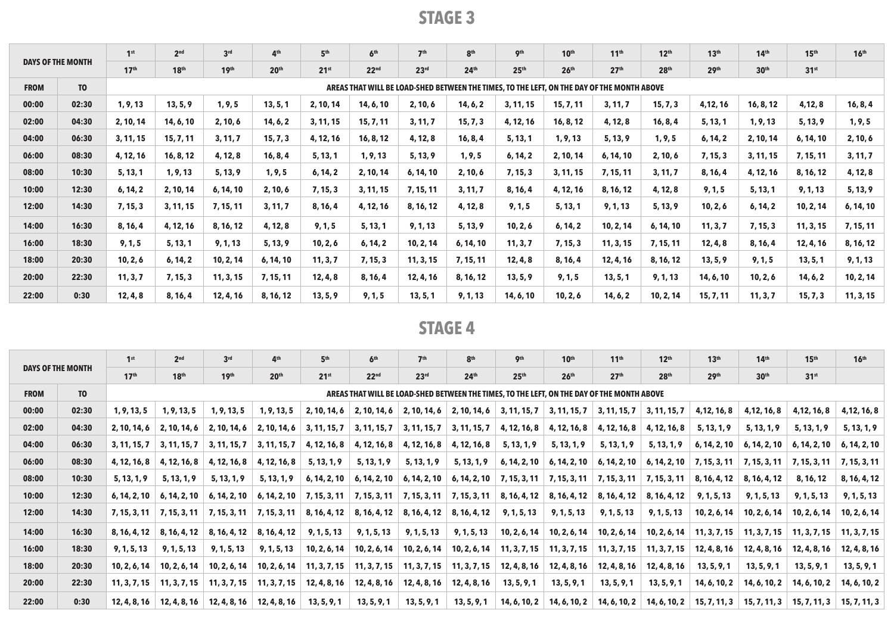|                          |                | 2 <sup>nd</sup><br>1 <sup>st</sup> | 3 <sup>rd</sup>  | 4 <sup>th</sup> | 5 <sup>th</sup>  | 6 <sup>th</sup>  | 7 <sup>th</sup>  | 8 <sup>th</sup>                                                                            | <b>gth</b>       | 10 <sup>th</sup> | 11 <sup>th</sup> | 12 <sup>th</sup> | 13 <sup>th</sup> | 14 <sup>th</sup> | 15 <sup>th</sup> | 16 <sup>th</sup> |           |
|--------------------------|----------------|------------------------------------|------------------|-----------------|------------------|------------------|------------------|--------------------------------------------------------------------------------------------|------------------|------------------|------------------|------------------|------------------|------------------|------------------|------------------|-----------|
| <b>DAYS OF THE MONTH</b> |                | 17 <sup>th</sup>                   | 18 <sup>th</sup> | 19th            | 20 <sup>th</sup> | 21 <sup>st</sup> | 22 <sup>nd</sup> | 23 <sup>rd</sup>                                                                           | 24 <sup>th</sup> | 25 <sup>th</sup> | 26 <sup>th</sup> | 27 <sup>th</sup> | 28 <sup>th</sup> | 29 <sup>th</sup> | 30 <sup>th</sup> | 31 <sup>st</sup> |           |
| <b>FROM</b>              | T <sub>0</sub> |                                    |                  |                 |                  |                  |                  | AREAS THAT WILL BE LOAD-SHED BETWEEN THE TIMES, TO THE LEFT, ON THE DAY OF THE MONTH ABOVE |                  |                  |                  |                  |                  |                  |                  |                  |           |
| 00:00                    | 02:30          | 1, 9, 13                           | 13, 5, 9         | 1, 9, 5         | 13, 5, 1         | 2, 10, 14        | 14, 6, 10        | 2, 10, 6                                                                                   | 14, 6, 2         | 3, 11, 15        | 15, 7, 11        | 3, 11, 7         | 15, 7, 3         | 4,12,16          | 16, 8, 12        | 4,12,8           | 16, 8, 4  |
| 02:00                    | 04:30          | 2, 10, 14                          | 14, 6, 10        | 2, 10, 6        | 14, 6, 2         | 3, 11, 15        | 15, 7, 11        | 3, 11, 7                                                                                   | 15, 7, 3         | 4, 12, 16        | 16, 8, 12        | 4, 12, 8         | 16, 8, 4         | 5, 13, 1         | 1, 9, 13         | 5, 13, 9         | 1, 9, 5   |
| 04:00                    | 06:30          | 3, 11, 15                          | 15, 7, 11        | 3, 11, 7        | 15, 7, 3         | 4, 12, 16        | 16, 8, 12        | 4, 12, 8                                                                                   | 16, 8, 4         | 5, 13, 1         | 1, 9, 13         | 5, 13, 9         | 1, 9, 5          | 6, 14, 2         | 2, 10, 14        | 6, 14, 10        | 2, 10, 6  |
| 06:00                    | 08:30          | 4, 12, 16                          | 16, 8, 12        | 4, 12, 8        | 16, 8, 4         | 5, 13, 1         | 1, 9, 13         | 5, 13, 9                                                                                   | 1, 9, 5          | 6, 14, 2         | 2, 10, 14        | 6, 14, 10        | 2, 10, 6         | 7, 15, 3         | 3, 11, 15        | 7, 15, 11        | 3, 11, 7  |
| 08:00                    | 10:30          | 5, 13, 1                           | 1, 9, 13         | 5, 13, 9        | 1, 9, 5          | 6, 14, 2         | 2, 10, 14        | 6, 14, 10                                                                                  | 2, 10, 6         | 7, 15, 3         | 3, 11, 15        | 7, 15, 11        | 3, 11, 7         | 8, 16, 4         | 4, 12, 16        | 8, 16, 12        | 4, 12, 8  |
| 10:00                    | 12:30          | 6, 14, 2                           | 2, 10, 14        | 6, 14, 10       | 2, 10, 6         | 7, 15, 3         | 3, 11, 15        | 7, 15, 11                                                                                  | 3, 11, 7         | 8, 16, 4         | 4, 12, 16        | 8, 16, 12        | 4, 12, 8         | 9, 1, 5          | 5, 13, 1         | 9, 1, 13         | 5, 13, 9  |
| 12:00                    | 14:30          | 7, 15, 3                           | 3, 11, 15        | 7, 15, 11       | 3, 11, 7         | 8, 16, 4         | 4, 12, 16        | 8, 16, 12                                                                                  | 4, 12, 8         | 9, 1, 5          | 5, 13, 1         | 9, 1, 13         | 5, 13, 9         | 10, 2, 6         | 6, 14, 2         | 10, 2, 14        | 6, 14, 10 |
| 14:00                    | 16:30          | 8, 16, 4                           | 4, 12, 16        | 8, 16, 12       | 4, 12, 8         | 9, 1, 5          | 5, 13, 1         | 9, 1, 13                                                                                   | 5, 13, 9         | 10, 2, 6         | 6, 14, 2         | 10, 2, 14        | 6, 14, 10        | 11, 3, 7         | 7, 15, 3         | 11, 3, 15        | 7, 15, 11 |
| 16:00                    | 18:30          | 9, 1, 5                            | 5, 13, 1         | 9, 1, 13        | 5, 13, 9         | 10, 2, 6         | 6, 14, 2         | 10, 2, 14                                                                                  | 6, 14, 10        | 11, 3, 7         | 7, 15, 3         | 11, 3, 15        | 7, 15, 11        | 12, 4, 8         | 8, 16, 4         | 12, 4, 16        | 8, 16, 12 |
| 18:00                    | 20:30          | 10, 2, 6                           | 6, 14, 2         | 10, 2, 14       | 6, 14, 10        | 11, 3, 7         | 7, 15, 3         | 11, 3, 15                                                                                  | 7, 15, 11        | 12, 4, 8         | 8, 16, 4         | 12, 4, 16        | 8, 16, 12        | 13, 5, 9         | 9, 1, 5          | 13, 5, 1         | 9, 1, 13  |
| 20:00                    | 22:30          | 11, 3, 7                           | 7, 15, 3         | 11, 3, 15       | 7, 15, 11        | 12, 4, 8         | 8, 16, 4         | 12, 4, 16                                                                                  | 8, 16, 12        | 13, 5, 9         | 9, 1, 5          | 13, 5, 1         | 9, 1, 13         | 14, 6, 10        | 10, 2, 6         | 14, 6, 2         | 10, 2, 14 |
| 22:00                    | 0:30           | 12, 4, 8                           | 8, 16, 4         | 12, 4, 16       | 8, 16, 12        | 13, 5, 9         | 9, 1, 5          | 13, 5, 1                                                                                   | 9, 1, 13         | 14, 6, 10        | 10, 2, 6         | 14, 6, 2         | 10, 2, 14        | 15, 7, 11        | 11, 3, 7         | 15, 7, 3         | 11, 3, 15 |

| <b>DAYS OF THE MONTH</b> | 1 <sup>st</sup> | 2 <sub>nd</sub>  | 3 <sup>rd</sup>  | 4 <sup>th</sup>  | 5 <sup>th</sup>               | 6 <sup>th</sup>                              | 7 <sup>th</sup>  | 8 <sup>th</sup>                                                                            | <b>9th</b>       | 10 <sup>th</sup>                                   | 11 <sup>th</sup>                                          | 12 <sup>th</sup> | 13 <sup>th</sup>                                                          | 14 <sup>th</sup>             | 15 <sup>th</sup> | 16 <sup>th</sup> |                                  |
|--------------------------|-----------------|------------------|------------------|------------------|-------------------------------|----------------------------------------------|------------------|--------------------------------------------------------------------------------------------|------------------|----------------------------------------------------|-----------------------------------------------------------|------------------|---------------------------------------------------------------------------|------------------------------|------------------|------------------|----------------------------------|
|                          |                 | 17 <sup>th</sup> | 18 <sup>th</sup> | 19 <sup>th</sup> | 20 <sup>th</sup>              | 21 <sup>st</sup>                             | 22 <sup>nd</sup> | 23 <sup>rd</sup>                                                                           | 24 <sup>th</sup> | 25 <sup>th</sup>                                   | 26 <sup>th</sup>                                          | 27 <sup>th</sup> | 28 <sup>th</sup>                                                          | 29 <sup>th</sup>             | 30 <sup>th</sup> | 31 <sup>st</sup> |                                  |
| <b>FROM</b>              | T <sub>0</sub>  |                  |                  |                  |                               |                                              |                  | AREAS THAT WILL BE LOAD-SHED BETWEEN THE TIMES. TO THE LEFT. ON THE DAY OF THE MONTH ABOVE |                  |                                                    |                                                           |                  |                                                                           |                              |                  |                  |                                  |
| 00:00                    | 02:30           | 1, 9, 13, 5      | 1, 9, 13, 5      | 1, 9, 13, 5      | 1, 9, 13, 5                   | 2, 10, 14, 6                                 | 2, 10, 14, 6     |                                                                                            |                  | $2, 10, 14, 6 \mid 2, 10, 14, 6 \mid 3, 11, 15, 7$ | 3, 11, 15, 7                                              | 3, 11, 15, 7     | 3, 11, 15, 7                                                              | 4, 12, 16, 8                 | 4,12, 16, 8      | 4,12, 16, 8      | 4, 12, 16, 8                     |
| 02:00                    | 04:30           | 2, 10, 14, 6     | 2, 10, 14, 6     | 2, 10, 14, 6     | 2, 10, 14, 6                  | 3, 11, 15, 7                                 | 3, 11, 15, 7     | 3, 11, 15, 7                                                                               | 3, 11, 15, 7     | 4, 12, 16, 8                                       | 4, 12, 16, 8                                              | 4, 12, 16, 8     | 4, 12, 16, 8                                                              | 5, 13, 1, 9                  | 5, 13, 1, 9      | 5, 13, 1, 9      | 5, 13, 1, 9                      |
| 04:00                    | 06:30           | 3, 11, 15, 7     | 3, 11, 15, 7     | 3, 11, 15, 7     | 3, 11, 15, 7                  | 4, 12, 16, 8                                 | 4, 12, 16, 8     | 4, 12, 16, 8                                                                               | 4, 12, 16, 8     | 5, 13, 1, 9                                        | 5, 13, 1, 9                                               | 5, 13, 1, 9      | 5, 13, 1, 9                                                               | 6, 14, 2, 10                 | 6, 14, 2, 10     | 6, 14, 2, 10     | 6, 14, 2, 10                     |
| 06:00                    | 08:30           | 4, 12, 16, 8     | 4, 12, 16, 8     | 4, 12, 16, 8     | 4, 12, 16, 8                  | 5, 13, 1, 9                                  | 5, 13, 1, 9      | 5, 13, 1, 9                                                                                | 5, 13, 1, 9      | 6, 14, 2, 10                                       | 6, 14, 2, 10                                              | 6, 14, 2, 10     | 6, 14, 2, 10                                                              | $\vert$ 7, 15, 3, 11 $\vert$ | 7, 15, 3, 11     | 7, 15, 3, 11     | 7, 15, 3, 11                     |
| 08:00                    | 10:30           | 5, 13, 1, 9      | 5, 13, 1, 9      | 5, 13, 1, 9      | 5, 13, 1, 9                   | 6, 14, 2, 10                                 | 6, 14, 2, 10     | 6, 14, 2, 10                                                                               |                  | $6, 14, 2, 10$ 7, 15, 3, 11                        | 7, 15, 3, 11                                              | 7, 15, 3, 11     | 7, 15, 3, 11                                                              | 8, 16, 4, 12                 | 8, 16, 4, 12     | 8, 16, 12        | 8, 16, 4, 12                     |
| 10:00                    | 12:30           | 6, 14, 2, 10     | 6, 14, 2, 10     | 6, 14, 2, 10     |                               | $6, 14, 2, 10$   7, 15, 3, 11   7, 15, 3, 11 |                  |                                                                                            |                  |                                                    | 7, 15, 3, 11   7, 15, 3, 11   8, 16, 4, 12   8, 16, 4, 12 |                  | $8, 16, 4, 12$ $8, 16, 4, 12$                                             | 9, 1, 5, 13                  | 9, 1, 5, 13      | 9, 1, 5, 13      | 9, 1, 5, 13                      |
| 12:00                    | 14:30           | 7, 15, 3, 11     | 7, 15, 3, 11     | 7, 15, 3, 11     | 7, 15, 3, 11                  | 8, 16, 4, 12                                 | 8, 16, 4, 12     | 8, 16, 4, 12                                                                               | 8, 16, 4, 12     | 9, 1, 5, 13                                        | 9, 1, 5, 13                                               | 9, 1, 5, 13      | 9, 1, 5, 13                                                               | 10, 2, 6, 14                 | 10, 2, 6, 14     | 10, 2, 6, 14     | 10, 2, 6, 14                     |
| 14:00                    | 16:30           | 8, 16, 4, 12     | 8, 16, 4, 12     | 8, 16, 4, 12     | 8, 16, 4, 12                  | 9, 1, 5, 13                                  | 9, 1, 5, 13      | 9, 1, 5, 13                                                                                | 9, 1, 5, 13      | 10, 2, 6, 14                                       | 10, 2, 6, 14                                              | 10, 2, 6, 14     | 10, 2, 6, 14                                                              | 11, 3, 7, 15                 | 11, 3, 7, 15     | 11, 3, 7, 15     | 11, 3, 7, 15                     |
| 16:00                    | 18:30           | 9, 1, 5, 13      | 9, 1, 5, 13      | 9, 1, 5, 13      | 9, 1, 5, 13                   | 10, 2, 6, 14                                 | 10, 2, 6, 14     | 10, 2, 6, 14                                                                               |                  | $10, 2, 6, 14$   11, 3, 7, 15                      | 11, 3, 7, 15                                              | 11, 3, 7, 15     | 11, 3, 7, 15                                                              | 12, 4, 8, 16                 | 12, 4, 8, 16     | 12, 4, 8, 16     | 12, 4, 8, 16                     |
| 18:00                    | 20:30           | 10, 2, 6, 14     | 10, 2, 6, 14     | 10, 2, 6, 14     | 10, 2, 6, 14                  | 11, 3, 7, 15                                 | 11, 3, 7, 15     |                                                                                            |                  | $11, 3, 7, 15$   $11, 3, 7, 15$   $12, 4, 8, 16$   | 12, 4, 8, 16                                              | 12, 4, 8, 16     | 12, 4, 8, 16                                                              | 13, 5, 9, 1                  | 13, 5, 9, 1      | 13, 5, 9, 1      | 13, 5, 9, 1                      |
| 20:00                    | 22:30           | 11, 3, 7, 15     | 11, 3, 7, 15     | 11, 3, 7, 15     | 11, 3, 7, 15                  | 12, 4, 8, 16                                 | 12, 4, 8, 16     | 12, 4, 8, 16                                                                               | 12, 4, 8, 16     | 13, 5, 9, 1                                        | 13, 5, 9, 1                                               | 13, 5, 9, 1      | 13, 5, 9, 1                                                               | 14, 6, 10, 2                 | 14, 6, 10, 2     | 14, 6, 10, 2     | 14, 6, 10, 2                     |
| 22:00                    | 0:30            | 12, 4, 8, 16     | 12, 4, 8, 16     |                  | $12, 4, 8, 16$   12, 4, 8, 16 | 13, 5, 9, 1                                  | 13, 5, 9, 1      | 13, 5, 9, 1                                                                                | 13, 5, 9, 1      |                                                    |                                                           |                  | $14, 6, 10, 2 \mid 14, 6, 10, 2 \mid 14, 6, 10, 2 \mid 14, 6, 10, 2 \mid$ | 15, 7, 11, 3                 | 15, 7, 11, 3     |                  | $15, 7, 11, 3 \mid 15, 7, 11, 3$ |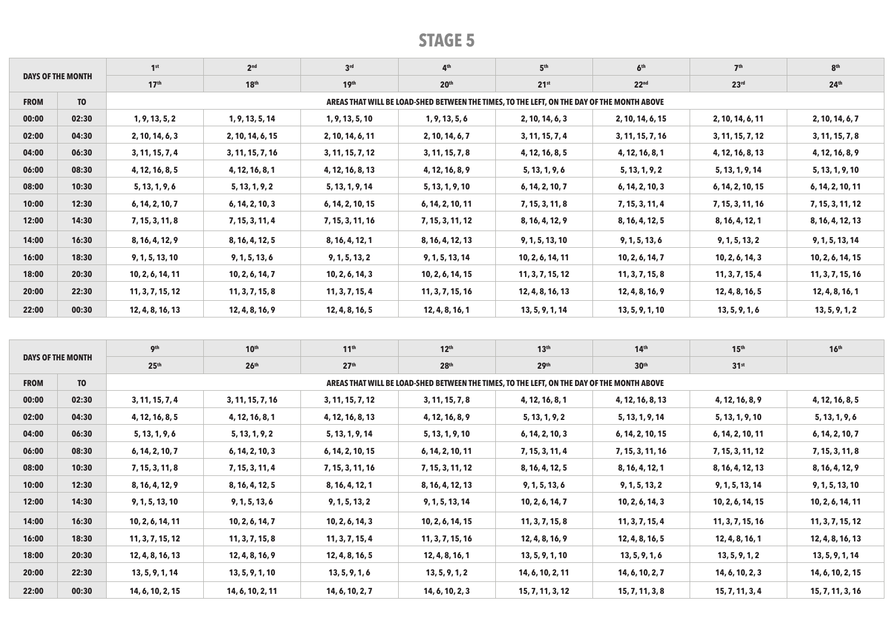|                          |                | 1 <sup>st</sup>  | 2 <sup>nd</sup>  | 3 <sup>rd</sup>  | 4 <sup>th</sup>                                                                            | 5 <sup>th</sup>  | 6 <sup>th</sup>  | 7 <sup>th</sup>  | 8 <sup>th</sup>  |
|--------------------------|----------------|------------------|------------------|------------------|--------------------------------------------------------------------------------------------|------------------|------------------|------------------|------------------|
| <b>DAYS OF THE MONTH</b> |                | 17 <sup>th</sup> | 18 <sup>th</sup> | 19 <sup>th</sup> | 20 <sup>th</sup>                                                                           | 21 <sup>st</sup> | 22 <sup>nd</sup> | 23 <sup>rd</sup> | 24 <sup>th</sup> |
| <b>FROM</b>              | T <sub>0</sub> |                  |                  |                  | AREAS THAT WILL BE LOAD-SHED BETWEEN THE TIMES, TO THE LEFT, ON THE DAY OF THE MONTH ABOVE |                  |                  |                  |                  |
| 00:00                    | 02:30          | 1, 9, 13, 5, 2   | 1, 9, 13, 5, 14  | 1, 9, 13, 5, 10  | 1, 9, 13, 5, 6                                                                             | 2, 10, 14, 6, 3  | 2, 10, 14, 6, 15 | 2, 10, 14, 6, 11 | 2, 10, 14, 6, 7  |
| 02:00                    | 04:30          | 2, 10, 14, 6, 3  | 2, 10, 14, 6, 15 | 2, 10, 14, 6, 11 | 2, 10, 14, 6, 7                                                                            | 3, 11, 15, 7, 4  | 3, 11, 15, 7, 16 | 3, 11, 15, 7, 12 | 3, 11, 15, 7, 8  |
| 04:00                    | 06:30          | 3, 11, 15, 7, 4  | 3, 11, 15, 7, 16 | 3, 11, 15, 7, 12 | 3, 11, 15, 7, 8                                                                            | 4, 12, 16, 8, 5  | 4, 12, 16, 8, 1  | 4, 12, 16, 8, 13 | 4, 12, 16, 8, 9  |
| 06:00                    | 08:30          | 4, 12, 16, 8, 5  | 4, 12, 16, 8, 1  | 4, 12, 16, 8, 13 | 4, 12, 16, 8, 9                                                                            | 5, 13, 1, 9, 6   | 5, 13, 1, 9, 2   | 5, 13, 1, 9, 14  | 5, 13, 1, 9, 10  |
| 08:00                    | 10:30          | 5, 13, 1, 9, 6   | 5, 13, 1, 9, 2   | 5, 13, 1, 9, 14  | 5, 13, 1, 9, 10                                                                            | 6, 14, 2, 10, 7  | 6, 14, 2, 10, 3  | 6, 14, 2, 10, 15 | 6, 14, 2, 10, 11 |
| 10:00                    | 12:30          | 6, 14, 2, 10, 7  | 6, 14, 2, 10, 3  | 6, 14, 2, 10, 15 | 6, 14, 2, 10, 11                                                                           | 7, 15, 3, 11, 8  | 7, 15, 3, 11, 4  | 7, 15, 3, 11, 16 | 7, 15, 3, 11, 12 |
| 12:00                    | 14:30          | 7, 15, 3, 11, 8  | 7, 15, 3, 11, 4  | 7, 15, 3, 11, 16 | 7, 15, 3, 11, 12                                                                           | 8, 16, 4, 12, 9  | 8, 16, 4, 12, 5  | 8, 16, 4, 12, 1  | 8, 16, 4, 12, 13 |
| 14:00                    | 16:30          | 8, 16, 4, 12, 9  | 8, 16, 4, 12, 5  | 8, 16, 4, 12, 1  | 8, 16, 4, 12, 13                                                                           | 9, 1, 5, 13, 10  | 9, 1, 5, 13, 6   | 9, 1, 5, 13, 2   | 9, 1, 5, 13, 14  |
| 16:00                    | 18:30          | 9, 1, 5, 13, 10  | 9, 1, 5, 13, 6   | 9, 1, 5, 13, 2   | 9, 1, 5, 13, 14                                                                            | 10, 2, 6, 14, 11 | 10, 2, 6, 14, 7  | 10, 2, 6, 14, 3  | 10, 2, 6, 14, 15 |
| 18:00                    | 20:30          | 10, 2, 6, 14, 11 | 10, 2, 6, 14, 7  | 10, 2, 6, 14, 3  | 10, 2, 6, 14, 15                                                                           | 11, 3, 7, 15, 12 | 11, 3, 7, 15, 8  | 11, 3, 7, 15, 4  | 11, 3, 7, 15, 16 |
| 20:00                    | 22:30          | 11, 3, 7, 15, 12 | 11, 3, 7, 15, 8  | 11, 3, 7, 15, 4  | 11, 3, 7, 15, 16                                                                           | 12, 4, 8, 16, 13 | 12, 4, 8, 16, 9  | 12, 4, 8, 16, 5  | 12, 4, 8, 16, 1  |
| 22:00                    | 00:30          | 12, 4, 8, 16, 13 | 12, 4, 8, 16, 9  | 12, 4, 8, 16, 5  | 12, 4, 8, 16, 1                                                                            | 13, 5, 9, 1, 14  | 13, 5, 9, 1, 10  | 13, 5, 9, 1, 6   | 13, 5, 9, 1, 2   |

|                          |                | <b>9th</b>       | 10 <sup>th</sup> | 11 <sup>th</sup> | 12 <sup>th</sup>                                                                           | 13 <sup>th</sup> | 14 <sup>th</sup> | 15 <sup>th</sup> | 16 <sup>th</sup> |
|--------------------------|----------------|------------------|------------------|------------------|--------------------------------------------------------------------------------------------|------------------|------------------|------------------|------------------|
| <b>DAYS OF THE MONTH</b> |                | 25 <sup>th</sup> | 26 <sup>th</sup> | 27 <sup>th</sup> | 28 <sup>th</sup>                                                                           | 29 <sup>th</sup> | 30 <sup>th</sup> | 31 <sup>st</sup> |                  |
| <b>FROM</b>              | T <sub>0</sub> |                  |                  |                  | AREAS THAT WILL BE LOAD-SHED BETWEEN THE TIMES, TO THE LEFT, ON THE DAY OF THE MONTH ABOVE |                  |                  |                  |                  |
| 00:00                    | 02:30          | 3, 11, 15, 7, 4  | 3, 11, 15, 7, 16 | 3, 11, 15, 7, 12 | 3, 11, 15, 7, 8                                                                            | 4, 12, 16, 8, 1  | 4, 12, 16, 8, 13 | 4, 12, 16, 8, 9  | 4, 12, 16, 8, 5  |
| 02:00                    | 04:30          | 4, 12, 16, 8, 5  | 4, 12, 16, 8, 1  | 4, 12, 16, 8, 13 | 4, 12, 16, 8, 9                                                                            | 5, 13, 1, 9, 2   | 5, 13, 1, 9, 14  | 5, 13, 1, 9, 10  | 5, 13, 1, 9, 6   |
| 04:00                    | 06:30          | 5, 13, 1, 9, 6   | 5, 13, 1, 9, 2   | 5, 13, 1, 9, 14  | 5, 13, 1, 9, 10                                                                            | 6, 14, 2, 10, 3  | 6, 14, 2, 10, 15 | 6, 14, 2, 10, 11 | 6, 14, 2, 10, 7  |
| 06:00                    | 08:30          | 6, 14, 2, 10, 7  | 6, 14, 2, 10, 3  | 6, 14, 2, 10, 15 | 6, 14, 2, 10, 11                                                                           | 7, 15, 3, 11, 4  | 7, 15, 3, 11, 16 | 7, 15, 3, 11, 12 | 7, 15, 3, 11, 8  |
| 08:00                    | 10:30          | 7, 15, 3, 11, 8  | 7, 15, 3, 11, 4  | 7, 15, 3, 11, 16 | 7, 15, 3, 11, 12                                                                           | 8, 16, 4, 12, 5  | 8, 16, 4, 12, 1  | 8, 16, 4, 12, 13 | 8, 16, 4, 12, 9  |
| 10:00                    | 12:30          | 8, 16, 4, 12, 9  | 8, 16, 4, 12, 5  | 8, 16, 4, 12, 1  | 8, 16, 4, 12, 13                                                                           | 9, 1, 5, 13, 6   | 9, 1, 5, 13, 2   | 9, 1, 5, 13, 14  | 9, 1, 5, 13, 10  |
| 12:00                    | 14:30          | 9, 1, 5, 13, 10  | 9, 1, 5, 13, 6   | 9, 1, 5, 13, 2   | 9, 1, 5, 13, 14                                                                            | 10, 2, 6, 14, 7  | 10, 2, 6, 14, 3  | 10, 2, 6, 14, 15 | 10, 2, 6, 14, 11 |
| 14:00                    | 16:30          | 10, 2, 6, 14, 11 | 10, 2, 6, 14, 7  | 10, 2, 6, 14, 3  | 10, 2, 6, 14, 15                                                                           | 11, 3, 7, 15, 8  | 11, 3, 7, 15, 4  | 11, 3, 7, 15, 16 | 11, 3, 7, 15, 12 |
| 16:00                    | 18:30          | 11, 3, 7, 15, 12 | 11, 3, 7, 15, 8  | 11, 3, 7, 15, 4  | 11, 3, 7, 15, 16                                                                           | 12, 4, 8, 16, 9  | 12, 4, 8, 16, 5  | 12, 4, 8, 16, 1  | 12, 4, 8, 16, 13 |
| 18:00                    | 20:30          | 12, 4, 8, 16, 13 | 12, 4, 8, 16, 9  | 12, 4, 8, 16, 5  | 12, 4, 8, 16, 1                                                                            | 13, 5, 9, 1, 10  | 13, 5, 9, 1, 6   | 13, 5, 9, 1, 2   | 13, 5, 9, 1, 14  |
| 20:00                    | 22:30          | 13, 5, 9, 1, 14  | 13, 5, 9, 1, 10  | 13, 5, 9, 1, 6   | 13, 5, 9, 1, 2                                                                             | 14, 6, 10, 2, 11 | 14, 6, 10, 2, 7  | 14, 6, 10, 2, 3  | 14, 6, 10, 2, 15 |
| 22:00                    | 00:30          | 14, 6, 10, 2, 15 | 14, 6, 10, 2, 11 | 14, 6, 10, 2, 7  | 14, 6, 10, 2, 3                                                                            | 15, 7, 11, 3, 12 | 15, 7, 11, 3, 8  | 15, 7, 11, 3, 4  | 15, 7, 11, 3, 16 |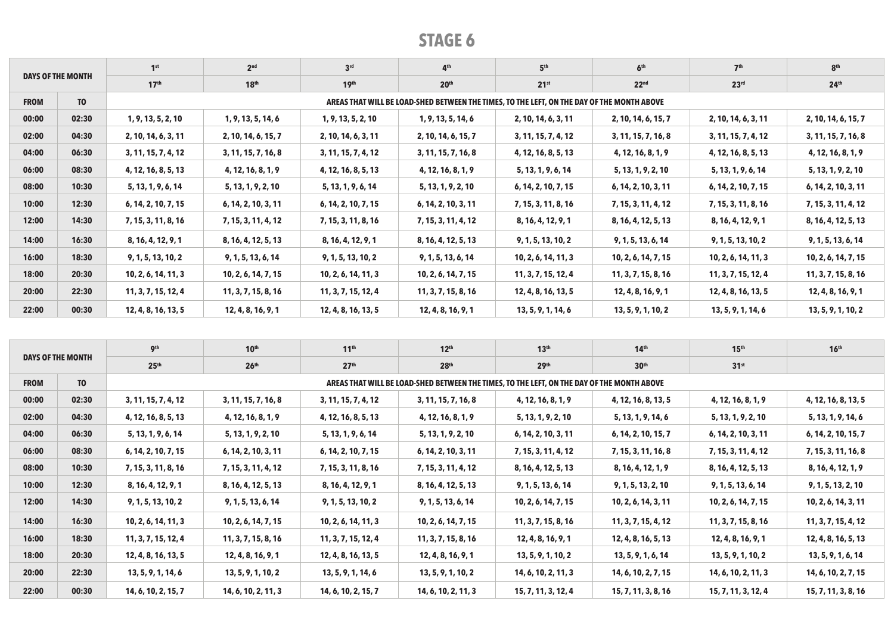|                          |                | 1 <sup>st</sup>     | 2 <sup>nd</sup>     | 3 <sup>rd</sup>     | 4 <sup>th</sup>                                                                            | 5 <sup>th</sup>     | 6 <sup>th</sup>     | 7 <sup>th</sup>     | 8 <sup>th</sup>     |
|--------------------------|----------------|---------------------|---------------------|---------------------|--------------------------------------------------------------------------------------------|---------------------|---------------------|---------------------|---------------------|
| <b>DAYS OF THE MONTH</b> |                | 17 <sup>th</sup>    | 18 <sup>th</sup>    | 19 <sup>th</sup>    | 20 <sup>th</sup>                                                                           | 21 <sup>st</sup>    | 22 <sup>nd</sup>    | 23 <sup>rd</sup>    | 24 <sup>th</sup>    |
| <b>FROM</b>              | T <sub>0</sub> |                     |                     |                     | AREAS THAT WILL BE LOAD-SHED BETWEEN THE TIMES, TO THE LEFT, ON THE DAY OF THE MONTH ABOVE |                     |                     |                     |                     |
| 00:00                    | 02:30          | 1, 9, 13, 5, 2, 10  | 1, 9, 13, 5, 14, 6  | 1, 9, 13, 5, 2, 10  | 1, 9, 13, 5, 14, 6                                                                         | 2, 10, 14, 6, 3, 11 | 2, 10, 14, 6, 15, 7 | 2, 10, 14, 6, 3, 11 | 2, 10, 14, 6, 15, 7 |
| 02:00                    | 04:30          | 2, 10, 14, 6, 3, 11 | 2, 10, 14, 6, 15, 7 | 2, 10, 14, 6, 3, 11 | 2, 10, 14, 6, 15, 7                                                                        | 3, 11, 15, 7, 4, 12 | 3, 11, 15, 7, 16, 8 | 3, 11, 15, 7, 4, 12 | 3, 11, 15, 7, 16, 8 |
| 04:00                    | 06:30          | 3, 11, 15, 7, 4, 12 | 3, 11, 15, 7, 16, 8 | 3, 11, 15, 7, 4, 12 | 3, 11, 15, 7, 16, 8                                                                        | 4, 12, 16, 8, 5, 13 | 4, 12, 16, 8, 1, 9  | 4, 12, 16, 8, 5, 13 | 4, 12, 16, 8, 1, 9  |
| 06:00                    | 08:30          | 4, 12, 16, 8, 5, 13 | 4, 12, 16, 8, 1, 9  | 4, 12, 16, 8, 5, 13 | 4, 12, 16, 8, 1, 9                                                                         | 5, 13, 1, 9, 6, 14  | 5, 13, 1, 9, 2, 10  | 5, 13, 1, 9, 6, 14  | 5, 13, 1, 9, 2, 10  |
| 08:00                    | 10:30          | 5, 13, 1, 9, 6, 14  | 5, 13, 1, 9, 2, 10  | 5, 13, 1, 9, 6, 14  | 5, 13, 1, 9, 2, 10                                                                         | 6, 14, 2, 10, 7, 15 | 6, 14, 2, 10, 3, 11 | 6, 14, 2, 10, 7, 15 | 6, 14, 2, 10, 3, 11 |
| 10:00                    | 12:30          | 6, 14, 2, 10, 7, 15 | 6, 14, 2, 10, 3, 11 | 6, 14, 2, 10, 7, 15 | 6, 14, 2, 10, 3, 11                                                                        | 7, 15, 3, 11, 8, 16 | 7, 15, 3, 11, 4, 12 | 7, 15, 3, 11, 8, 16 | 7, 15, 3, 11, 4, 12 |
| 12:00                    | 14:30          | 7, 15, 3, 11, 8, 16 | 7, 15, 3, 11, 4, 12 | 7, 15, 3, 11, 8, 16 | 7, 15, 3, 11, 4, 12                                                                        | 8, 16, 4, 12, 9, 1  | 8, 16, 4, 12, 5, 13 | 8, 16, 4, 12, 9, 1  | 8, 16, 4, 12, 5, 13 |
| 14:00                    | 16:30          | 8, 16, 4, 12, 9, 1  | 8, 16, 4, 12, 5, 13 | 8, 16, 4, 12, 9, 1  | 8, 16, 4, 12, 5, 13                                                                        | 9, 1, 5, 13, 10, 2  | 9, 1, 5, 13, 6, 14  | 9, 1, 5, 13, 10, 2  | 9, 1, 5, 13, 6, 14  |
| 16:00                    | 18:30          | 9, 1, 5, 13, 10, 2  | 9, 1, 5, 13, 6, 14  | 9, 1, 5, 13, 10, 2  | 9, 1, 5, 13, 6, 14                                                                         | 10, 2, 6, 14, 11, 3 | 10, 2, 6, 14, 7, 15 | 10, 2, 6, 14, 11, 3 | 10, 2, 6, 14, 7, 15 |
| 18:00                    | 20:30          | 10, 2, 6, 14, 11, 3 | 10, 2, 6, 14, 7, 15 | 10, 2, 6, 14, 11, 3 | 10, 2, 6, 14, 7, 15                                                                        | 11, 3, 7, 15, 12, 4 | 11, 3, 7, 15, 8, 16 | 11, 3, 7, 15, 12, 4 | 11, 3, 7, 15, 8, 16 |
| 20:00                    | 22:30          | 11, 3, 7, 15, 12, 4 | 11, 3, 7, 15, 8, 16 | 11, 3, 7, 15, 12, 4 | 11, 3, 7, 15, 8, 16                                                                        | 12, 4, 8, 16, 13, 5 | 12, 4, 8, 16, 9, 1  | 12, 4, 8, 16, 13, 5 | 12, 4, 8, 16, 9, 1  |
| 22:00                    | 00:30          | 12, 4, 8, 16, 13, 5 | 12, 4, 8, 16, 9, 1  | 12, 4, 8, 16, 13, 5 | 12, 4, 8, 16, 9, 1                                                                         | 13, 5, 9, 1, 14, 6  | 13, 5, 9, 1, 10, 2  | 13, 5, 9, 1, 14, 6  | 13, 5, 9, 1, 10, 2  |

|             |                          | 9 <sup>th</sup>     | 10 <sup>th</sup>    | 11 <sup>th</sup>    | 12 <sup>th</sup>                                                                           | 13 <sup>th</sup>    | 14 <sup>th</sup>    | 15 <sup>th</sup>    | 16 <sup>th</sup>    |
|-------------|--------------------------|---------------------|---------------------|---------------------|--------------------------------------------------------------------------------------------|---------------------|---------------------|---------------------|---------------------|
|             | <b>DAYS OF THE MONTH</b> | 25 <sup>th</sup>    | 26 <sup>th</sup>    | 27 <sup>th</sup>    | 28 <sup>th</sup>                                                                           | 29 <sup>th</sup>    | 30 <sup>th</sup>    | 31 <sup>st</sup>    |                     |
| <b>FROM</b> | T <sub>0</sub>           |                     |                     |                     | AREAS THAT WILL BE LOAD-SHED BETWEEN THE TIMES, TO THE LEFT, ON THE DAY OF THE MONTH ABOVE |                     |                     |                     |                     |
| 00:00       | 02:30                    | 3, 11, 15, 7, 4, 12 | 3, 11, 15, 7, 16, 8 | 3, 11, 15, 7, 4, 12 | 3, 11, 15, 7, 16, 8                                                                        | 4, 12, 16, 8, 1, 9  | 4, 12, 16, 8, 13, 5 | 4, 12, 16, 8, 1, 9  | 4, 12, 16, 8, 13, 5 |
| 02:00       | 04:30                    | 4, 12, 16, 8, 5, 13 | 4, 12, 16, 8, 1, 9  | 4, 12, 16, 8, 5, 13 | 4, 12, 16, 8, 1, 9                                                                         | 5, 13, 1, 9, 2, 10  | 5, 13, 1, 9, 14, 6  | 5, 13, 1, 9, 2, 10  | 5, 13, 1, 9, 14, 6  |
| 04:00       | 06:30                    | 5, 13, 1, 9, 6, 14  | 5, 13, 1, 9, 2, 10  | 5, 13, 1, 9, 6, 14  | 5, 13, 1, 9, 2, 10                                                                         | 6, 14, 2, 10, 3, 11 | 6, 14, 2, 10, 15, 7 | 6, 14, 2, 10, 3, 11 | 6, 14, 2, 10, 15, 7 |
| 06:00       | 08:30                    | 6, 14, 2, 10, 7, 15 | 6, 14, 2, 10, 3, 11 | 6, 14, 2, 10, 7, 15 | 6, 14, 2, 10, 3, 11                                                                        | 7, 15, 3, 11, 4, 12 | 7, 15, 3, 11, 16, 8 | 7, 15, 3, 11, 4, 12 | 7, 15, 3, 11, 16, 8 |
| 08:00       | 10:30                    | 7, 15, 3, 11, 8, 16 | 7, 15, 3, 11, 4, 12 | 7, 15, 3, 11, 8, 16 | 7, 15, 3, 11, 4, 12                                                                        | 8, 16, 4, 12, 5, 13 | 8, 16, 4, 12, 1, 9  | 8, 16, 4, 12, 5, 13 | 8, 16, 4, 12, 1, 9  |
| 10:00       | 12:30                    | 8, 16, 4, 12, 9, 1  | 8, 16, 4, 12, 5, 13 | 8, 16, 4, 12, 9, 1  | 8, 16, 4, 12, 5, 13                                                                        | 9, 1, 5, 13, 6, 14  | 9, 1, 5, 13, 2, 10  | 9, 1, 5, 13, 6, 14  | 9, 1, 5, 13, 2, 10  |
| 12:00       | 14:30                    | 9, 1, 5, 13, 10, 2  | 9, 1, 5, 13, 6, 14  | 9, 1, 5, 13, 10, 2  | 9, 1, 5, 13, 6, 14                                                                         | 10, 2, 6, 14, 7, 15 | 10, 2, 6, 14, 3, 11 | 10, 2, 6, 14, 7, 15 | 10, 2, 6, 14, 3, 11 |
| 14:00       | 16:30                    | 10, 2, 6, 14, 11, 3 | 10, 2, 6, 14, 7, 15 | 10, 2, 6, 14, 11, 3 | 10, 2, 6, 14, 7, 15                                                                        | 11, 3, 7, 15, 8, 16 | 11, 3, 7, 15, 4, 12 | 11, 3, 7, 15, 8, 16 | 11, 3, 7, 15, 4, 12 |
| 16:00       | 18:30                    | 11, 3, 7, 15, 12, 4 | 11, 3, 7, 15, 8, 16 | 11, 3, 7, 15, 12, 4 | 11, 3, 7, 15, 8, 16                                                                        | 12, 4, 8, 16, 9, 1  | 12, 4, 8, 16, 5, 13 | 12, 4, 8, 16, 9, 1  | 12, 4, 8, 16, 5, 13 |
| 18:00       | 20:30                    | 12, 4, 8, 16, 13, 5 | 12, 4, 8, 16, 9, 1  | 12, 4, 8, 16, 13, 5 | 12, 4, 8, 16, 9, 1                                                                         | 13, 5, 9, 1, 10, 2  | 13, 5, 9, 1, 6, 14  | 13, 5, 9, 1, 10, 2  | 13, 5, 9, 1, 6, 14  |
| 20:00       | 22:30                    | 13, 5, 9, 1, 14, 6  | 13, 5, 9, 1, 10, 2  | 13, 5, 9, 1, 14, 6  | 13, 5, 9, 1, 10, 2                                                                         | 14, 6, 10, 2, 11, 3 | 14, 6, 10, 2, 7, 15 | 14, 6, 10, 2, 11, 3 | 14, 6, 10, 2, 7, 15 |
| 22:00       | 00:30                    | 14, 6, 10, 2, 15, 7 | 14, 6, 10, 2, 11, 3 | 14, 6, 10, 2, 15, 7 | 14, 6, 10, 2, 11, 3                                                                        | 15, 7, 11, 3, 12, 4 | 15, 7, 11, 3, 8, 16 | 15, 7, 11, 3, 12, 4 | 15, 7, 11, 3, 8, 16 |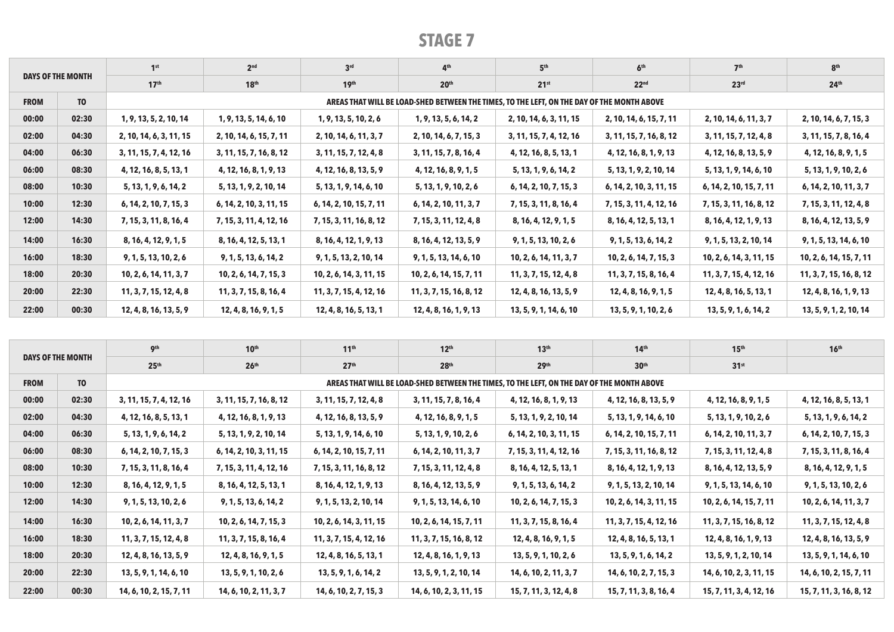|             |                          | 1 <sup>st</sup>         | 2 <sup>nd</sup>         | 3 <sup>rd</sup>         | 4 <sup>th</sup>                                                                            | 5 <sup>th</sup>         | 6 <sup>th</sup>         | 7 <sup>th</sup>         | 8 <sup>th</sup>         |
|-------------|--------------------------|-------------------------|-------------------------|-------------------------|--------------------------------------------------------------------------------------------|-------------------------|-------------------------|-------------------------|-------------------------|
|             | <b>DAYS OF THE MONTH</b> | 17 <sup>th</sup>        | 18 <sup>th</sup>        | 19 <sup>th</sup>        | 20 <sup>th</sup>                                                                           | 21 <sup>st</sup>        | 22 <sup>nd</sup>        | 23 <sup>rd</sup>        | 24 <sup>th</sup>        |
| <b>FROM</b> | T <sub>0</sub>           |                         |                         |                         | AREAS THAT WILL BE LOAD-SHED BETWEEN THE TIMES, TO THE LEFT, ON THE DAY OF THE MONTH ABOVE |                         |                         |                         |                         |
| 00:00       | 02:30                    | 1, 9, 13, 5, 2, 10, 14  | 1, 9, 13, 5, 14, 6, 10  | 1, 9, 13, 5, 10, 2, 6   | 1, 9, 13, 5, 6, 14, 2                                                                      | 2, 10, 14, 6, 3, 11, 15 | 2, 10, 14, 6, 15, 7, 11 | 2, 10, 14, 6, 11, 3, 7  | 2, 10, 14, 6, 7, 15, 3  |
| 02:00       | 04:30                    | 2, 10, 14, 6, 3, 11, 15 | 2, 10, 14, 6, 15, 7, 11 | 2, 10, 14, 6, 11, 3, 7  | 2, 10, 14, 6, 7, 15, 3                                                                     | 3, 11, 15, 7, 4, 12, 16 | 3, 11, 15, 7, 16, 8, 12 | 3, 11, 15, 7, 12, 4, 8  | 3, 11, 15, 7, 8, 16, 4  |
| 04:00       | 06:30                    | 3, 11, 15, 7, 4, 12, 16 | 3, 11, 15, 7, 16, 8, 12 | 3, 11, 15, 7, 12, 4, 8  | 3, 11, 15, 7, 8, 16, 4                                                                     | 4, 12, 16, 8, 5, 13, 1  | 4, 12, 16, 8, 1, 9, 13  | 4, 12, 16, 8, 13, 5, 9  | 4, 12, 16, 8, 9, 1, 5   |
| 06:00       | 08:30                    | 4, 12, 16, 8, 5, 13, 1  | 4, 12, 16, 8, 1, 9, 13  | 4, 12, 16, 8, 13, 5, 9  | 4, 12, 16, 8, 9, 1, 5                                                                      | 5, 13, 1, 9, 6, 14, 2   | 5, 13, 1, 9, 2, 10, 14  | 5, 13, 1, 9, 14, 6, 10  | 5, 13, 1, 9, 10, 2, 6   |
| 08:00       | 10:30                    | 5, 13, 1, 9, 6, 14, 2   | 5, 13, 1, 9, 2, 10, 14  | 5, 13, 1, 9, 14, 6, 10  | 5, 13, 1, 9, 10, 2, 6                                                                      | 6, 14, 2, 10, 7, 15, 3  | 6, 14, 2, 10, 3, 11, 15 | 6, 14, 2, 10, 15, 7, 11 | 6, 14, 2, 10, 11, 3, 7  |
| 10:00       | 12:30                    | 6, 14, 2, 10, 7, 15, 3  | 6, 14, 2, 10, 3, 11, 15 | 6, 14, 2, 10, 15, 7, 11 | 6, 14, 2, 10, 11, 3, 7                                                                     | 7, 15, 3, 11, 8, 16, 4  | 7, 15, 3, 11, 4, 12, 16 | 7, 15, 3, 11, 16, 8, 12 | 7, 15, 3, 11, 12, 4, 8  |
| 12:00       | 14:30                    | 7, 15, 3, 11, 8, 16, 4  | 7, 15, 3, 11, 4, 12, 16 | 7, 15, 3, 11, 16, 8, 12 | 7, 15, 3, 11, 12, 4, 8                                                                     | 8, 16, 4, 12, 9, 1, 5   | 8, 16, 4, 12, 5, 13, 1  | 8, 16, 4, 12, 1, 9, 13  | 8, 16, 4, 12, 13, 5, 9  |
| 14:00       | 16:30                    | 8, 16, 4, 12, 9, 1, 5   | 8, 16, 4, 12, 5, 13, 1  | 8, 16, 4, 12, 1, 9, 13  | 8, 16, 4, 12, 13, 5, 9                                                                     | 9, 1, 5, 13, 10, 2, 6   | 9, 1, 5, 13, 6, 14, 2   | 9, 1, 5, 13, 2, 10, 14  | 9, 1, 5, 13, 14, 6, 10  |
| 16:00       | 18:30                    | 9, 1, 5, 13, 10, 2, 6   | 9, 1, 5, 13, 6, 14, 2   | 9, 1, 5, 13, 2, 10, 14  | 9, 1, 5, 13, 14, 6, 10                                                                     | 10, 2, 6, 14, 11, 3, 7  | 10, 2, 6, 14, 7, 15, 3  | 10, 2, 6, 14, 3, 11, 15 | 10, 2, 6, 14, 15, 7, 11 |
| 18:00       | 20:30                    | 10, 2, 6, 14, 11, 3, 7  | 10, 2, 6, 14, 7, 15, 3  | 10, 2, 6, 14, 3, 11, 15 | 10, 2, 6, 14, 15, 7, 11                                                                    | 11, 3, 7, 15, 12, 4, 8  | 11, 3, 7, 15, 8, 16, 4  | 11, 3, 7, 15, 4, 12, 16 | 11, 3, 7, 15, 16, 8, 12 |
| 20:00       | 22:30                    | 11, 3, 7, 15, 12, 4, 8  | 11, 3, 7, 15, 8, 16, 4  | 11, 3, 7, 15, 4, 12, 16 | 11, 3, 7, 15, 16, 8, 12                                                                    | 12, 4, 8, 16, 13, 5, 9  | 12, 4, 8, 16, 9, 1, 5   | 12, 4, 8, 16, 5, 13, 1  | 12, 4, 8, 16, 1, 9, 13  |
| 22:00       | 00:30                    | 12, 4, 8, 16, 13, 5, 9  | 12, 4, 8, 16, 9, 1, 5   | 12, 4, 8, 16, 5, 13, 1  | 12, 4, 8, 16, 1, 9, 13                                                                     | 13, 5, 9, 1, 14, 6, 10  | 13, 5, 9, 1, 10, 2, 6   | 13, 5, 9, 1, 6, 14, 2   | 13, 5, 9, 1, 2, 10, 14  |

|             |                   | <b>gth</b>              | 10 <sup>th</sup>        | 11 <sup>th</sup>        | 12 <sup>th</sup>                                                                           | 13 <sup>th</sup>        | 14 <sup>th</sup>        | 15 <sup>th</sup>        | 16 <sup>th</sup>        |
|-------------|-------------------|-------------------------|-------------------------|-------------------------|--------------------------------------------------------------------------------------------|-------------------------|-------------------------|-------------------------|-------------------------|
|             | DAYS OF THE MONTH | 25 <sup>th</sup>        | 26 <sup>th</sup>        | 27 <sup>th</sup>        | 28 <sup>th</sup>                                                                           | 29th                    | 30 <sup>th</sup>        | 31 <sup>st</sup>        |                         |
| <b>FROM</b> | T <sub>0</sub>    |                         |                         |                         | AREAS THAT WILL BE LOAD-SHED BETWEEN THE TIMES, TO THE LEFT, ON THE DAY OF THE MONTH ABOVE |                         |                         |                         |                         |
| 00:00       | 02:30             | 3, 11, 15, 7, 4, 12, 16 | 3, 11, 15, 7, 16, 8, 12 | 3, 11, 15, 7, 12, 4, 8  | 3, 11, 15, 7, 8, 16, 4                                                                     | 4, 12, 16, 8, 1, 9, 13  | 4, 12, 16, 8, 13, 5, 9  | 4, 12, 16, 8, 9, 1, 5   | 4, 12, 16, 8, 5, 13, 1  |
| 02:00       | 04:30             | 4, 12, 16, 8, 5, 13, 1  | 4, 12, 16, 8, 1, 9, 13  | 4, 12, 16, 8, 13, 5, 9  | 4, 12, 16, 8, 9, 1, 5                                                                      | 5, 13, 1, 9, 2, 10, 14  | 5, 13, 1, 9, 14, 6, 10  | 5, 13, 1, 9, 10, 2, 6   | 5, 13, 1, 9, 6, 14, 2   |
| 04:00       | 06:30             | 5, 13, 1, 9, 6, 14, 2   | 5, 13, 1, 9, 2, 10, 14  | 5, 13, 1, 9, 14, 6, 10  | 5, 13, 1, 9, 10, 2, 6                                                                      | 6, 14, 2, 10, 3, 11, 15 | 6, 14, 2, 10, 15, 7, 11 | 6, 14, 2, 10, 11, 3, 7  | 6, 14, 2, 10, 7, 15, 3  |
| 06:00       | 08:30             | 6, 14, 2, 10, 7, 15, 3  | 6, 14, 2, 10, 3, 11, 15 | 6, 14, 2, 10, 15, 7, 11 | 6, 14, 2, 10, 11, 3, 7                                                                     | 7, 15, 3, 11, 4, 12, 16 | 7, 15, 3, 11, 16, 8, 12 | 7, 15, 3, 11, 12, 4, 8  | 7, 15, 3, 11, 8, 16, 4  |
| 08:00       | 10:30             | 7, 15, 3, 11, 8, 16, 4  | 7, 15, 3, 11, 4, 12, 16 | 7, 15, 3, 11, 16, 8, 12 | 7, 15, 3, 11, 12, 4, 8                                                                     | 8, 16, 4, 12, 5, 13, 1  | 8, 16, 4, 12, 1, 9, 13  | 8, 16, 4, 12, 13, 5, 9  | 8, 16, 4, 12, 9, 1, 5   |
| 10:00       | 12:30             | 8, 16, 4, 12, 9, 1, 5   | 8, 16, 4, 12, 5, 13, 1  | 8, 16, 4, 12, 1, 9, 13  | 8, 16, 4, 12, 13, 5, 9                                                                     | 9, 1, 5, 13, 6, 14, 2   | 9, 1, 5, 13, 2, 10, 14  | 9, 1, 5, 13, 14, 6, 10  | 9, 1, 5, 13, 10, 2, 6   |
| 12:00       | 14:30             | 9, 1, 5, 13, 10, 2, 6   | 9, 1, 5, 13, 6, 14, 2   | 9, 1, 5, 13, 2, 10, 14  | 9, 1, 5, 13, 14, 6, 10                                                                     | 10, 2, 6, 14, 7, 15, 3  | 10, 2, 6, 14, 3, 11, 15 | 10, 2, 6, 14, 15, 7, 11 | 10, 2, 6, 14, 11, 3, 7  |
| 14:00       | 16:30             | 10, 2, 6, 14, 11, 3, 7  | 10, 2, 6, 14, 7, 15, 3  | 10, 2, 6, 14, 3, 11, 15 | 10, 2, 6, 14, 15, 7, 11                                                                    | 11, 3, 7, 15, 8, 16, 4  | 11, 3, 7, 15, 4, 12, 16 | 11, 3, 7, 15, 16, 8, 12 | 11, 3, 7, 15, 12, 4, 8  |
| 16:00       | 18:30             | 11, 3, 7, 15, 12, 4, 8  | 11, 3, 7, 15, 8, 16, 4  | 11, 3, 7, 15, 4, 12, 16 | 11, 3, 7, 15, 16, 8, 12                                                                    | 12, 4, 8, 16, 9, 1, 5   | 12, 4, 8, 16, 5, 13, 1  | 12, 4, 8, 16, 1, 9, 13  | 12, 4, 8, 16, 13, 5, 9  |
| 18:00       | 20:30             | 12, 4, 8, 16, 13, 5, 9  | 12, 4, 8, 16, 9, 1, 5   | 12, 4, 8, 16, 5, 13, 1  | 12, 4, 8, 16, 1, 9, 13                                                                     | 13, 5, 9, 1, 10, 2, 6   | 13, 5, 9, 1, 6, 14, 2   | 13, 5, 9, 1, 2, 10, 14  | 13, 5, 9, 1, 14, 6, 10  |
| 20:00       | 22:30             | 13, 5, 9, 1, 14, 6, 10  | 13, 5, 9, 1, 10, 2, 6   | 13, 5, 9, 1, 6, 14, 2   | 13, 5, 9, 1, 2, 10, 14                                                                     | 14, 6, 10, 2, 11, 3, 7  | 14, 6, 10, 2, 7, 15, 3  | 14, 6, 10, 2, 3, 11, 15 | 14, 6, 10, 2, 15, 7, 11 |
| 22:00       | 00:30             | 14, 6, 10, 2, 15, 7, 11 | 14, 6, 10, 2, 11, 3, 7  | 14, 6, 10, 2, 7, 15, 3  | 14, 6, 10, 2, 3, 11, 15                                                                    | 15, 7, 11, 3, 12, 4, 8  | 15, 7, 11, 3, 8, 16, 4  | 15, 7, 11, 3, 4, 12, 16 | 15, 7, 11, 3, 16, 8, 12 |